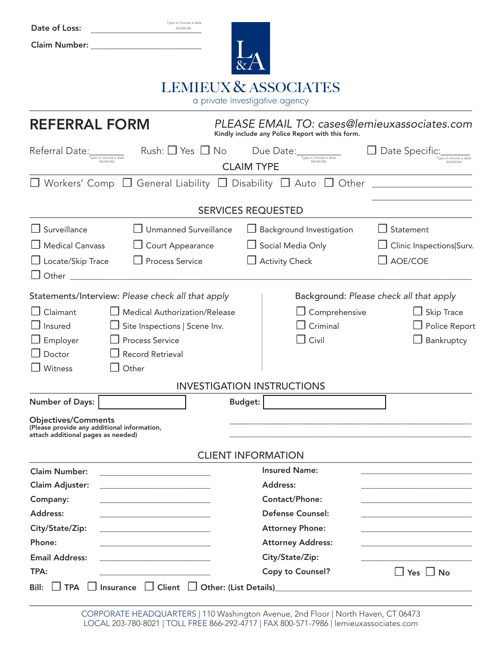| Type or choose a date<br>Date of Loss:<br>XX/XX/XX                                                              |                           |                                                                                                  |                                         |  |  |  |  |  |
|-----------------------------------------------------------------------------------------------------------------|---------------------------|--------------------------------------------------------------------------------------------------|-----------------------------------------|--|--|--|--|--|
| <b>Claim Number:</b>                                                                                            |                           |                                                                                                  |                                         |  |  |  |  |  |
|                                                                                                                 |                           |                                                                                                  |                                         |  |  |  |  |  |
|                                                                                                                 |                           | <b>LEMIEUX &amp; ASSOCIATES</b>                                                                  |                                         |  |  |  |  |  |
| a private investigative agency                                                                                  |                           |                                                                                                  |                                         |  |  |  |  |  |
| <b>REFERRAL FORM</b>                                                                                            |                           | PLEASE EMAIL TO: cases@lemieuxassociates.com<br>Kindly include any Police Report with this form. |                                         |  |  |  |  |  |
| Rush: $\Box$ Yes $\Box$ No<br>Referral Date:<br>Type or choose a date                                           |                           | Due Date:<br>Type or choose a date                                                               | Date Specific:                          |  |  |  |  |  |
| XX/XX/XX                                                                                                        | <b>CLAIM TYPE</b>         |                                                                                                  | XX/XX/XX                                |  |  |  |  |  |
| $\Box$ Workers' Comp $\Box$ General Liability $\Box$ Disability $\Box$ Auto $\Box$ Other                        |                           |                                                                                                  |                                         |  |  |  |  |  |
|                                                                                                                 | <b>SERVICES REQUESTED</b> |                                                                                                  |                                         |  |  |  |  |  |
| Surveillance<br>Unmanned Surveillance                                                                           |                           |                                                                                                  |                                         |  |  |  |  |  |
|                                                                                                                 |                           | Background Investigation                                                                         | Statement                               |  |  |  |  |  |
| <b>Medical Canvass</b><br>$\Box$ Court Appearance                                                               |                           | Social Media Only                                                                                | Clinic Inspections Surv.                |  |  |  |  |  |
| □ Process Service<br>Locate/Skip Trace                                                                          |                           | <b>Activity Check</b>                                                                            | AOE/COE                                 |  |  |  |  |  |
| Other                                                                                                           |                           |                                                                                                  |                                         |  |  |  |  |  |
| Statements/Interview: Please check all that apply                                                               |                           |                                                                                                  | Background: Please check all that apply |  |  |  |  |  |
| Claimant<br><b>Medical Authorization/Release</b>                                                                |                           | Comprehensive                                                                                    | $\Box$ Skip Trace                       |  |  |  |  |  |
| Site Inspections   Scene Inv.<br>Insured                                                                        |                           | Criminal<br>Police Report                                                                        |                                         |  |  |  |  |  |
| <b>Process Service</b><br>Employer                                                                              |                           | $\Box$ Civil                                                                                     | Bankruptcy                              |  |  |  |  |  |
| <b>Record Retrieval</b><br>Doctor                                                                               |                           |                                                                                                  |                                         |  |  |  |  |  |
| Witness<br>Other                                                                                                |                           |                                                                                                  |                                         |  |  |  |  |  |
| <b>INVESTIGATION INSTRUCTIONS</b>                                                                               |                           |                                                                                                  |                                         |  |  |  |  |  |
| <b>Number of Days:</b>                                                                                          | <b>Budget:</b>            |                                                                                                  |                                         |  |  |  |  |  |
| <b>Objectives/Comments</b><br>(Please provide any additional information,<br>attach additional pages as needed) |                           |                                                                                                  |                                         |  |  |  |  |  |
|                                                                                                                 | <b>CLIENT INFORMATION</b> |                                                                                                  |                                         |  |  |  |  |  |
| <b>Claim Number:</b>                                                                                            |                           | <b>Insured Name:</b>                                                                             |                                         |  |  |  |  |  |
| Claim Adjuster:                                                                                                 |                           | Address:                                                                                         |                                         |  |  |  |  |  |
| Company:                                                                                                        | Contact/Phone:            |                                                                                                  |                                         |  |  |  |  |  |
| Address:                                                                                                        |                           | <b>Defense Counsel:</b>                                                                          |                                         |  |  |  |  |  |
| City/State/Zip:                                                                                                 |                           |                                                                                                  | <b>Attorney Phone:</b>                  |  |  |  |  |  |
| Phone:                                                                                                          | <b>Attorney Address:</b>  |                                                                                                  |                                         |  |  |  |  |  |
| <b>Email Address:</b>                                                                                           |                           | City/State/Zip:                                                                                  |                                         |  |  |  |  |  |
| TPA:                                                                                                            |                           | <b>Copy to Counsel?</b><br>$\Box$ Yes $\Box$ No                                                  |                                         |  |  |  |  |  |
| Insurance C Client C Other: (List Details)<br><b>TPA</b><br>Bill:                                               |                           |                                                                                                  |                                         |  |  |  |  |  |